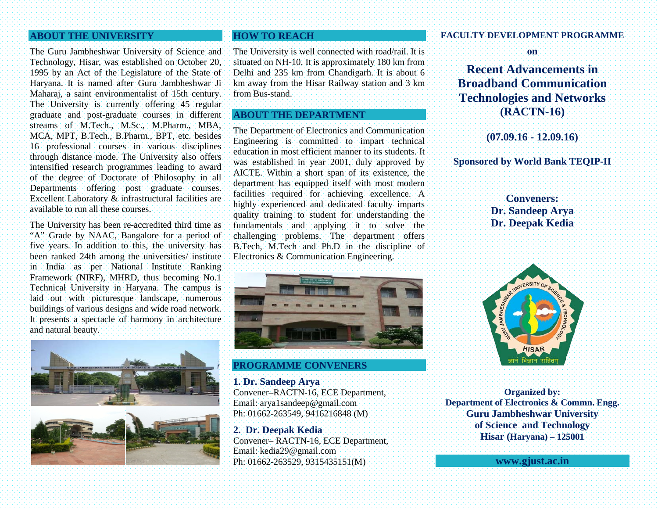### **ABOUT THE UNIVERSITY**

The Guru Jambheshwar University of Science and Technology, Hisar, was established on October 20, 1995 by an Act of the Legislature of the State of Haryana. It is named after Guru Jambheshwar Ji Maharaj, a saint environmentalist of 15th century. The University is currently offering 45 regular graduate and post-graduate courses in different streams of M.Tech., M.Sc., M.Pharm., MBA, MCA, MPT, B.Tech., B.Pharm., BPT, etc. besides 16 professional courses in various disciplines through distance mode. The University also offers intensified research programmes leading to award of the degree of Doctorate of Philosophy in all Departments offering post graduate courses. Excellent Laboratory & infrastructural facilities are available to run all these courses.

The University has been re-accredited third time as "A" Grade by NAAC, Bangalore for a period of five years. In addition to this, the university has been ranked 24th among the universities/ institute in India as per National Institute Ranking Framework (NIRF), MHRD, thus becoming No.1 Technical University in Haryana. The campus is laid out with picturesque landscape, numerous buildings of various designs and wide road network. It presents a spectacle of harmony in architecture and natural beauty.



# **HOW TO REACH**

The University is well connected with road/rail. It is situated on NH-10. It is approximately 180 km from Delhi and 235 km from Chandigarh. It is about 6 km away from the Hisar Railway station and 3 km from Bus-stand.

# **ABOUT THE DEPARTMENT**

The Department of Electronics and Communication Engineering is committed to impart technical education in most efficient manner to its students. It was established in year 2001, duly approved by AICTE. Within a short span of its existence, the department has equipped itself with most modern facilities required for achieving excellence. A highly experienced and dedicated faculty imparts quality training to student for understanding the fundamentals and applying it to solve the challenging problems. The department offers B.Tech, M.Tech and Ph.D in the discipline of Electronics & Communication Engineering.



**PROGRAMME CONVENERS**

**1. Dr. Sandeep Arya** Convener–RACTN-16, ECE Department, Email: arya1sandeep@gmail.com Ph: 01662-263549, 9416216848 (M)

**2. Dr. Deepak Kedia** Convener– RACTN-16, ECE Department, Email: kedia29@gmail.com Ph: 01662-263529, 9315435151(M)

#### **FACULTY DEVELOPMENT PROGRAMME**

**on**

**Recent Advancements in Broadband Communication Technologies and Networks (RACTN-16)**

**(07.09.16 - 12.09.16)**

# **Sponsored by World Bank TEQIP-II**

**Conveners: Dr. Sandeep Arya Dr. Deepak Kedia**



**Organized by: Department of Electronics & Commn. Engg. Guru Jambheshwar University of Science and Technology Hisar (Haryana) – 125001**

**[www.gjust.ac.in](http://www.gjust.ac.in/)**